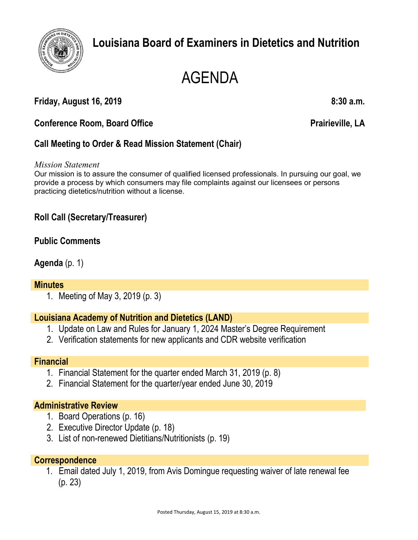

# **Louisiana Board of Examiners in Dietetics and Nutrition**

# AGENDA

# **Friday, August 16, 2019 8:30 a.m.**

### **Conference Room, Board Office**  Prairieville, LA

# **Call Meeting to Order & Read Mission Statement (Chair)**

#### *Mission Statement*

Our mission is to assure the consumer of qualified licensed professionals. In pursuing our goal, we provide a process by which consumers may file complaints against our licensees or persons practicing dietetics/nutrition without a license.

# **Roll Call (Secretary/Treasurer)**

#### **Public Comments**

#### **Agenda** (p. 1)

#### **Minutes**

1. Meeting of May 3, 2019 (p. 3)

#### **Louisiana Academy of Nutrition and Dietetics (LAND)**

- 1. Update on Law and Rules for January 1, 2024 Master's Degree Requirement
- 2. Verification statements for new applicants and CDR website verification

#### **Financial**

- 1. Financial Statement for the quarter ended March 31, 2019 (p. 8)
- 2. Financial Statement for the quarter/year ended June 30, 2019

#### **Administrative Review**

- 1. Board Operations (p. 16)
- 2. Executive Director Update (p. 18)
- 3. List of non-renewed Dietitians/Nutritionists (p. 19)

#### **Correspondence**

1. Email dated July 1, 2019, from Avis Domingue requesting waiver of late renewal fee (p. 23)